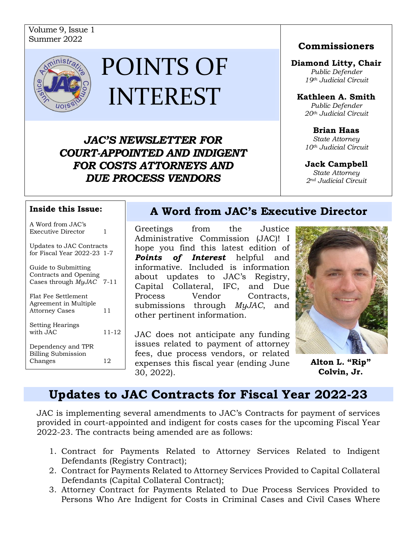## Volume 9, Issue 1 Summer <sup>2022</sup>



# POINTS OF INTEREST

*JAC'S NEWSLETTER FOR COURT-APPOINTED AND INDIGENT FOR COSTS ATTORNEYS AND DUE PROCESS VENDORS*

#### **Commissioners**

#### **Diamond Litty, Chair**

*Public Defender 19th Judicial Circuit*

#### **Kathleen A. Smith**

*Public Defender 20th Judicial Circuit*

**Brian Haas** *State Attorney 10th Judicial Circuit*

#### **Jack Campbell**

*State Attorney 2nd Judicial Circuit*

| A Word from JAC's<br><b>Executive Director</b>                           | 1     |
|--------------------------------------------------------------------------|-------|
| Updates to JAC Contracts<br>for Fiscal Year 2022-23 1-7                  |       |
| Guide to Submitting<br>Contracts and Opening<br>Cases through MyJAC 7-11 |       |
| Flat Fee Settlement<br>Agreement in Multiple<br><b>Attorney Cases</b>    | 11    |
| <b>Setting Hearings</b><br>with JAC                                      | 11-12 |
| Dependency and TPR<br><b>Billing Submission</b><br>Changes               | 12    |

### **A Word from JAC's Executive Director Inside this Issue:**

Greetings from the Justice Administrative Commission (JAC)! I hope you find this latest edition of *Points of Interest* helpful and informative. Included is information about updates to JAC's Registry, Capital Collateral, IFC, and Due Process Vendor Contracts, submissions through *MyJAC*, and other pertinent information.

JAC does not anticipate any funding issues related to payment of attorney fees, due process vendors, or related Changes 12 | expenses this fiscal year (ending June **Alton L. "Rip"** 30, 2022).



**Colvin, Jr.**

## **Updates to JAC Contracts for Fiscal Year 2022-23**

JAC is implementing several amendments to JAC's Contracts for payment of services provided in court-appointed and indigent for costs cases for the upcoming Fiscal Year 2022-23. The contracts being amended are as follows:

- 1. Contract for Payments Related to Attorney Services Related to Indigent Defendants (Registry Contract);
- 2. Contract for Payments Related to Attorney Services Provided to Capital Collateral Defendants (Capital Collateral Contract);
- 3. Attorney Contract for Payments Related to Due Process Services Provided to Persons Who Are Indigent for Costs in Criminal Cases and Civil Cases Where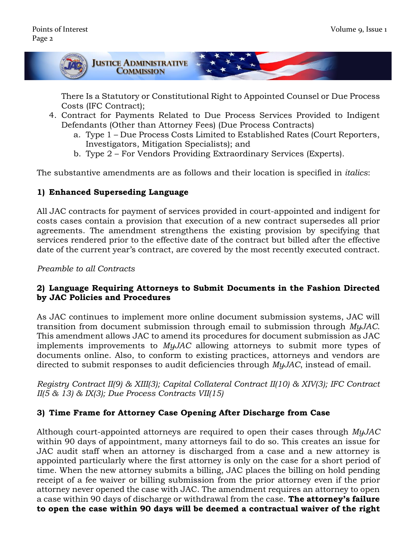

There Is a Statutory or Constitutional Right to Appointed Counsel or Due Process Costs (IFC Contract);

- 4. Contract for Payments Related to Due Process Services Provided to Indigent Defendants (Other than Attorney Fees) (Due Process Contracts)
	- a. Type 1 Due Process Costs Limited to Established Rates (Court Reporters, Investigators, Mitigation Specialists); and
	- b. Type 2 For Vendors Providing Extraordinary Services (Experts).

The substantive amendments are as follows and their location is specified in *italics*:

#### **1) Enhanced Superseding Language**

All JAC contracts for payment of services provided in court-appointed and indigent for costs cases contain a provision that execution of a new contract supersedes all prior agreements. The amendment strengthens the existing provision by specifying that services rendered prior to the effective date of the contract but billed after the effective date of the current year's contract, are covered by the most recently executed contract.

*Preamble to all Contracts*

#### **2) Language Requiring Attorneys to Submit Documents in the Fashion Directed by JAC Policies and Procedures**

As JAC continues to implement more online document submission systems, JAC will transition from document submission through email to submission through *MyJAC*. This amendment allows JAC to amend its procedures for document submission as JAC implements improvements to *MyJAC* allowing attorneys to submit more types of documents online. Also, to conform to existing practices, attorneys and vendors are directed to submit responses to audit deficiencies through *MyJAC*, instead of email.

*Registry Contract II(9) & XIII(3); Capital Collateral Contract II(10) & XIV(3); IFC Contract II(5 & 13) & IX(3); Due Process Contracts VII(15)*

#### **3) Time Frame for Attorney Case Opening After Discharge from Case**

Although court-appointed attorneys are required to open their cases through *MyJAC* within 90 days of appointment, many attorneys fail to do so. This creates an issue for JAC audit staff when an attorney is discharged from a case and a new attorney is appointed particularly where the first attorney is only on the case for a short period of time. When the new attorney submits a billing, JAC places the billing on hold pending receipt of a fee waiver or billing submission from the prior attorney even if the prior attorney never opened the case with JAC. The amendment requires an attorney to open a case within 90 days of discharge or withdrawal from the case. **The attorney's failure to open the case within 90 days will be deemed a contractual waiver of the right**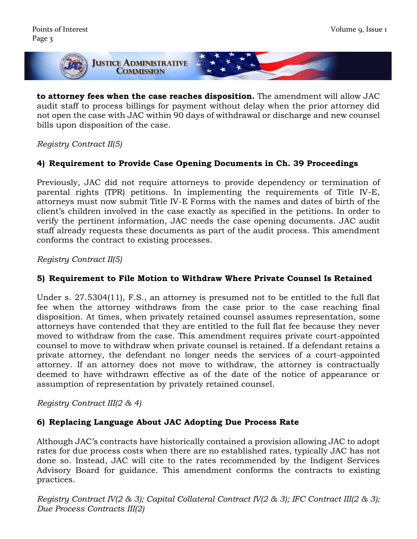

**to attorney fees when the case reaches disposition.** The amendment will allow JAC audit staff to process billings for payment without delay when the prior attorney did not open the case with JAC within 90 days of withdrawal or discharge and new counsel bills upon disposition of the case.

#### *Registry Contract II(5)*

#### **4) Requirement to Provide Case Opening Documents in Ch. 39 Proceedings**

Previously, JAC did not require attorneys to provide dependency or termination of parental rights (TPR) petitions. In implementing the requirements of Title IV-E, attorneys must now submit Title IV-E Forms with the names and dates of birth of the client's children involved in the case exactly as specified in the petitions. In order to verify the pertinent information, JAC needs the case opening documents. JAC audit staff already requests these documents as part of the audit process. This amendment conforms the contract to existing processes.

#### *Registry Contract II(5)*

#### **5) Requirement to File Motion to Withdraw Where Private Counsel Is Retained**

Under s. 27.5304(11), F.S., an attorney is presumed not to be entitled to the full flat fee when the attorney withdraws from the case prior to the case reaching final disposition. At times, when privately retained counsel assumes representation, some attorneys have contended that they are entitled to the full flat fee because they never moved to withdraw from the case. This amendment requires private court-appointed counsel to move to withdraw when private counsel is retained. If a defendant retains a private attorney, the defendant no longer needs the services of a court-appointed attorney. If an attorney does not move to withdraw, the attorney is contractually deemed to have withdrawn effective as of the date of the notice of appearance or assumption of representation by privately retained counsel.

*Registry Contract III(2 & 4)*

#### **6) Replacing Language About JAC Adopting Due Process Rate**

Although JAC's contracts have historically contained a provision allowing JAC to adopt rates for due process costs when there are no established rates, typically JAC has not done so. Instead, JAC will cite to the rates recommended by the Indigent Services Advisory Board for guidance. This amendment conforms the contracts to existing practices.

*Registry Contract IV(2 & 3); Capital Collateral Contract IV(2 & 3); IFC Contract III(2 & 3); Due Process Contracts III(2)*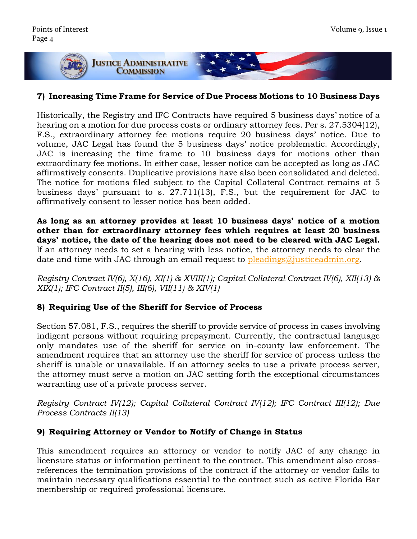

#### **7) Increasing Time Frame for Service of Due Process Motions to 10 Business Days**

Historically, the Registry and IFC Contracts have required 5 business days' notice of a hearing on a motion for due process costs or ordinary attorney fees. Per s. 27.5304(12), F.S., extraordinary attorney fee motions require 20 business days' notice. Due to volume, JAC Legal has found the 5 business days' notice problematic. Accordingly, JAC is increasing the time frame to 10 business days for motions other than extraordinary fee motions. In either case, lesser notice can be accepted as long as JAC affirmatively consents. Duplicative provisions have also been consolidated and deleted. The notice for motions filed subject to the Capital Collateral Contract remains at 5 business days' pursuant to s. 27.711(13), F.S., but the requirement for JAC to affirmatively consent to lesser notice has been added.

**As long as an attorney provides at least 10 business days' notice of a motion other than for extraordinary attorney fees which requires at least 20 business days' notice, the date of the hearing does not need to be cleared with JAC Legal.**  If an attorney needs to set a hearing with less notice, the attorney needs to clear the date and time with JAC through an email request to [pleadings@justiceadmin.org.](mailto:pleadings@justiceadmin.org)

*Registry Contract IV(6), X(16), XI(1) & XVIII(1); Capital Collateral Contract IV(6), XII(13) & XIX(1); IFC Contract II(5), III(6), VII(11) & XIV(1)*

#### **8) Requiring Use of the Sheriff for Service of Process**

Section 57.081, F.S., requires the sheriff to provide service of process in cases involving indigent persons without requiring prepayment. Currently, the contractual language only mandates use of the sheriff for service on in-county law enforcement. The amendment requires that an attorney use the sheriff for service of process unless the sheriff is unable or unavailable. If an attorney seeks to use a private process server, the attorney must serve a motion on JAC setting forth the exceptional circumstances warranting use of a private process server.

*Registry Contract IV(12); Capital Collateral Contract IV(12); IFC Contract III(12); Due Process Contracts II(13)*

#### **9) Requiring Attorney or Vendor to Notify of Change in Status**

This amendment requires an attorney or vendor to notify JAC of any change in licensure status or information pertinent to the contract. This amendment also crossreferences the termination provisions of the contract if the attorney or vendor fails to maintain necessary qualifications essential to the contract such as active Florida Bar membership or required professional licensure.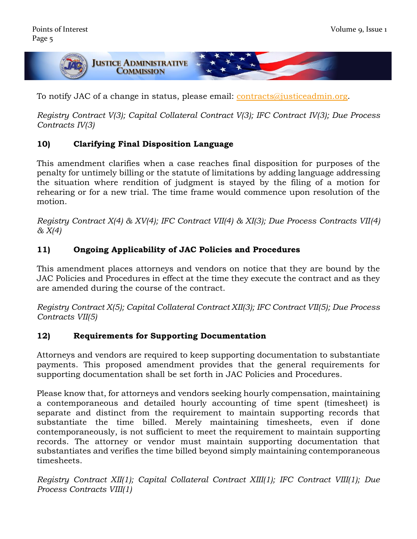

To notify JAC of a change in status, please email: [contracts@justiceadmin.org.](mailto:contracts@justiceadmin.org)

*Registry Contract V(3); Capital Collateral Contract V(3); IFC Contract IV(3); Due Process Contracts IV(3)*

### **10) Clarifying Final Disposition Language**

This amendment clarifies when a case reaches final disposition for purposes of the penalty for untimely billing or the statute of limitations by adding language addressing the situation where rendition of judgment is stayed by the filing of a motion for rehearing or for a new trial. The time frame would commence upon resolution of the motion.

*Registry Contract X(4) & XV(4); IFC Contract VII(4) & XI(3); Due Process Contracts VII(4) & X(4)*

### **11) Ongoing Applicability of JAC Policies and Procedures**

This amendment places attorneys and vendors on notice that they are bound by the JAC Policies and Procedures in effect at the time they execute the contract and as they are amended during the course of the contract.

*Registry Contract X(5); Capital Collateral Contract XII(3); IFC Contract VII(5); Due Process Contracts VII(5)*

#### **12) Requirements for Supporting Documentation**

Attorneys and vendors are required to keep supporting documentation to substantiate payments. This proposed amendment provides that the general requirements for supporting documentation shall be set forth in JAC Policies and Procedures.

Please know that, for attorneys and vendors seeking hourly compensation, maintaining a contemporaneous and detailed hourly accounting of time spent (timesheet) is separate and distinct from the requirement to maintain supporting records that substantiate the time billed. Merely maintaining timesheets, even if done contemporaneously, is not sufficient to meet the requirement to maintain supporting records. The attorney or vendor must maintain supporting documentation that substantiates and verifies the time billed beyond simply maintaining contemporaneous timesheets.

*Registry Contract XII(1); Capital Collateral Contract XIII(1); IFC Contract VIII(1); Due Process Contracts VIII(1)*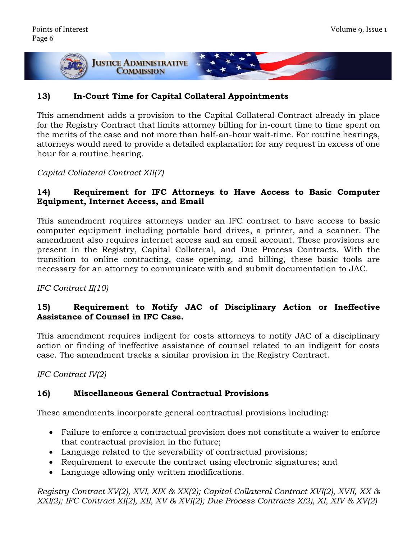

#### **13) In-Court Time for Capital Collateral Appointments**

This amendment adds a provision to the Capital Collateral Contract already in place for the Registry Contract that limits attorney billing for in-court time to time spent on the merits of the case and not more than half-an-hour wait-time. For routine hearings, attorneys would need to provide a detailed explanation for any request in excess of one hour for a routine hearing.

*Capital Collateral Contract XII(7)*

#### **14) Requirement for IFC Attorneys to Have Access to Basic Computer Equipment, Internet Access, and Email**

This amendment requires attorneys under an IFC contract to have access to basic computer equipment including portable hard drives, a printer, and a scanner. The amendment also requires internet access and an email account. These provisions are present in the Registry, Capital Collateral, and Due Process Contracts. With the transition to online contracting, case opening, and billing, these basic tools are necessary for an attorney to communicate with and submit documentation to JAC.

*IFC Contract II(10)*

#### **15) Requirement to Notify JAC of Disciplinary Action or Ineffective Assistance of Counsel in IFC Case.**

This amendment requires indigent for costs attorneys to notify JAC of a disciplinary action or finding of ineffective assistance of counsel related to an indigent for costs case. The amendment tracks a similar provision in the Registry Contract.

*IFC Contract IV(2)*

#### **16) Miscellaneous General Contractual Provisions**

These amendments incorporate general contractual provisions including:

- Failure to enforce a contractual provision does not constitute a waiver to enforce that contractual provision in the future;
- Language related to the severability of contractual provisions;
- Requirement to execute the contract using electronic signatures; and
- Language allowing only written modifications.

*Registry Contract XV(2), XVI, XIX & XX(2); Capital Collateral Contract XVI(2), XVII, XX & XXI(2); IFC Contract XI(2), XII, XV & XVI(2); Due Process Contracts X(2), XI, XIV & XV(2)*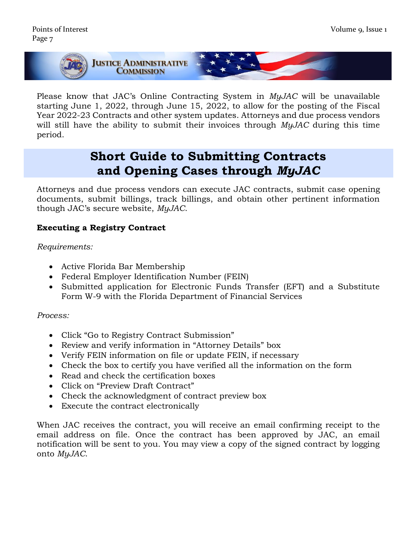

Please know that JAC's Online Contracting System in *MyJAC* will be unavailable starting June 1, 2022, through June 15, 2022, to allow for the posting of the Fiscal Year 2022-23 Contracts and other system updates. Attorneys and due process vendors will still have the ability to submit their invoices through *MyJAC* during this time period.

## **Short Guide to Submitting Contracts and Opening Cases through** *MyJAC*

Attorneys and due process vendors can execute JAC contracts, submit case opening documents, submit billings, track billings, and obtain other pertinent information though JAC's secure website, *MyJAC*.

#### **Executing a Registry Contract**

#### *Requirements:*

- Active Florida Bar Membership
- Federal Employer Identification Number (FEIN)
- Submitted application for Electronic Funds Transfer (EFT) and a Substitute Form W-9 with the Florida Department of Financial Services

#### *Process:*

- Click "Go to Registry Contract Submission"
- Review and verify information in "Attorney Details" box
- Verify FEIN information on file or update FEIN, if necessary
- Check the box to certify you have verified all the information on the form
- Read and check the certification boxes
- Click on "Preview Draft Contract"
- Check the acknowledgment of contract preview box
- Execute the contract electronically

When JAC receives the contract, you will receive an email confirming receipt to the email address on file. Once the contract has been approved by JAC, an email notification will be sent to you. You may view a copy of the signed contract by logging onto *MyJAC*.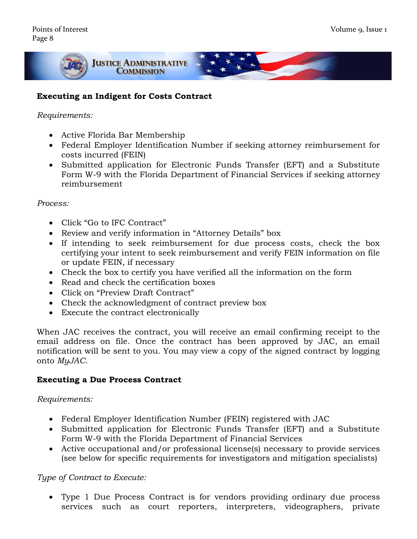

#### **Executing an Indigent for Costs Contract**

#### *Requirements:*

- Active Florida Bar Membership
- Federal Employer Identification Number if seeking attorney reimbursement for costs incurred (FEIN)
- Submitted application for Electronic Funds Transfer (EFT) and a Substitute Form W-9 with the Florida Department of Financial Services if seeking attorney reimbursement

#### *Process:*

- Click "Go to IFC Contract"
- Review and verify information in "Attorney Details" box
- If intending to seek reimbursement for due process costs, check the box certifying your intent to seek reimbursement and verify FEIN information on file or update FEIN, if necessary
- Check the box to certify you have verified all the information on the form
- Read and check the certification boxes
- Click on "Preview Draft Contract"
- Check the acknowledgment of contract preview box
- Execute the contract electronically

When JAC receives the contract, you will receive an email confirming receipt to the email address on file. Once the contract has been approved by JAC, an email notification will be sent to you. You may view a copy of the signed contract by logging onto *MyJAC*.

#### **Executing a Due Process Contract**

#### *Requirements:*

- Federal Employer Identification Number (FEIN) registered with JAC
- Submitted application for Electronic Funds Transfer (EFT) and a Substitute Form W-9 with the Florida Department of Financial Services
- Active occupational and/or professional license(s) necessary to provide services (see below for specific requirements for investigators and mitigation specialists)

#### *Type of Contract to Execute:*

• Type 1 Due Process Contract is for vendors providing ordinary due process services such as court reporters, interpreters, videographers, private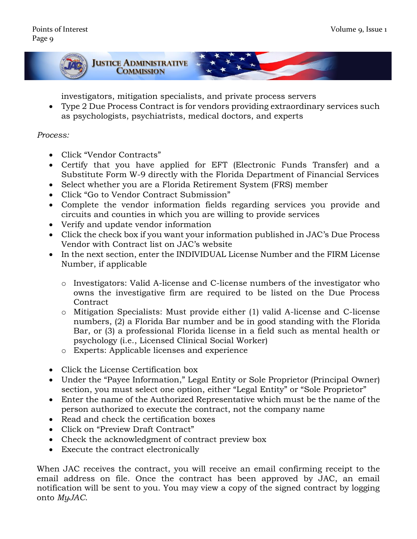

investigators, mitigation specialists, and private process servers

• Type 2 Due Process Contract is for vendors providing extraordinary services such as psychologists, psychiatrists, medical doctors, and experts

#### *Process:*

- Click "Vendor Contracts"
- Certify that you have applied for EFT (Electronic Funds Transfer) and a Substitute Form W-9 directly with the Florida Department of Financial Services
- Select whether you are a Florida Retirement System (FRS) member
- Click "Go to Vendor Contract Submission"
- Complete the vendor information fields regarding services you provide and circuits and counties in which you are willing to provide services
- Verify and update vendor information
- Click the check box if you want your information published in JAC's Due Process Vendor with Contract list on JAC's website
- In the next section, enter the INDIVIDUAL License Number and the FIRM License Number, if applicable
	- o Investigators: Valid A-license and C-license numbers of the investigator who owns the investigative firm are required to be listed on the Due Process **Contract**
	- o Mitigation Specialists: Must provide either (1) valid A-license and C-license numbers, (2) a Florida Bar number and be in good standing with the Florida Bar, or (3) a professional Florida license in a field such as mental health or psychology (i.e., Licensed Clinical Social Worker)
	- o Experts: Applicable licenses and experience
- Click the License Certification box
- Under the "Payee Information," Legal Entity or Sole Proprietor (Principal Owner) section, you must select one option, either "Legal Entity" or "Sole Proprietor"
- Enter the name of the Authorized Representative which must be the name of the person authorized to execute the contract, not the company name
- Read and check the certification boxes
- Click on "Preview Draft Contract"
- Check the acknowledgment of contract preview box
- Execute the contract electronically

When JAC receives the contract, you will receive an email confirming receipt to the email address on file. Once the contract has been approved by JAC, an email notification will be sent to you. You may view a copy of the signed contract by logging onto *MyJAC*.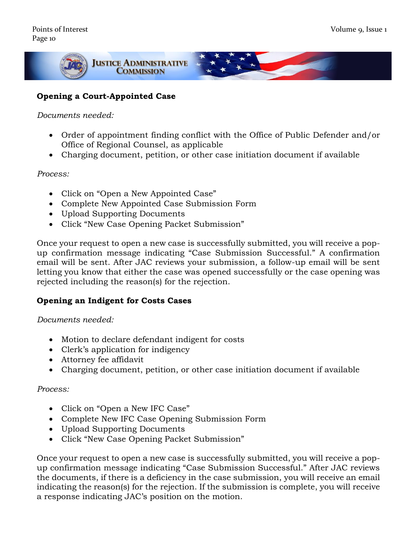

#### **Opening a Court-Appointed Case**

#### *Documents needed:*

- Order of appointment finding conflict with the Office of Public Defender and/or Office of Regional Counsel, as applicable
- Charging document, petition, or other case initiation document if available

#### *Process:*

- Click on "Open a New Appointed Case"
- Complete New Appointed Case Submission Form
- Upload Supporting Documents
- Click "New Case Opening Packet Submission"

Once your request to open a new case is successfully submitted, you will receive a popup confirmation message indicating "Case Submission Successful." A confirmation email will be sent. After JAC reviews your submission, a follow-up email will be sent letting you know that either the case was opened successfully or the case opening was rejected including the reason(s) for the rejection.

#### **Opening an Indigent for Costs Cases**

#### *Documents needed:*

- Motion to declare defendant indigent for costs
- Clerk's application for indigency
- Attorney fee affidavit
- Charging document, petition, or other case initiation document if available

#### *Process:*

- Click on "Open a New IFC Case"
- Complete New IFC Case Opening Submission Form
- Upload Supporting Documents
- Click "New Case Opening Packet Submission"

Once your request to open a new case is successfully submitted, you will receive a popup confirmation message indicating "Case Submission Successful." After JAC reviews the documents, if there is a deficiency in the case submission, you will receive an email indicating the reason(s) for the rejection. If the submission is complete, you will receive a response indicating JAC's position on the motion.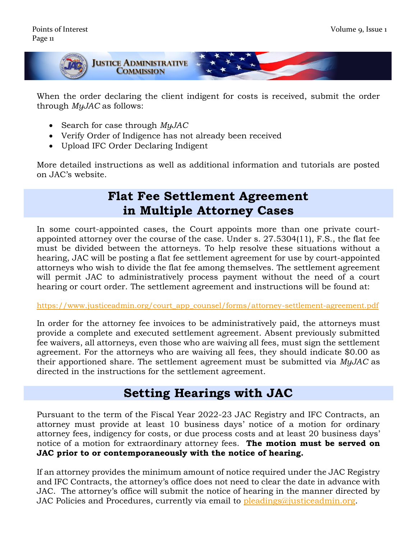

When the order declaring the client indigent for costs is received, submit the order through *MyJAC* as follows:

- Search for case through *MyJAC*
- Verify Order of Indigence has not already been received
- Upload IFC Order Declaring Indigent

More detailed instructions as well as additional information and tutorials are posted on JAC's website.

## **Flat Fee Settlement Agreement in Multiple Attorney Cases**

In some court-appointed cases, the Court appoints more than one private courtappointed attorney over the course of the case. Under s. 27.5304(11), F.S., the flat fee must be divided between the attorneys. To help resolve these situations without a hearing, JAC will be posting a flat fee settlement agreement for use by court-appointed attorneys who wish to divide the flat fee among themselves. The settlement agreement will permit JAC to administratively process payment without the need of a court hearing or court order. The settlement agreement and instructions will be found at:

[https://www.justiceadmin.org/court\\_app\\_counsel/forms/attorney-settlement-agreement.pdf](https://www.justiceadmin.org/court_app_counsel/forms/attorney-settlement-agreement.pdf)

In order for the attorney fee invoices to be administratively paid, the attorneys must provide a complete and executed settlement agreement. Absent previously submitted fee waivers, all attorneys, even those who are waiving all fees, must sign the settlement agreement. For the attorneys who are waiving all fees, they should indicate \$0.00 as their apportioned share. The settlement agreement must be submitted via *MyJAC* as directed in the instructions for the settlement agreement.

## **Setting Hearings with JAC**

Pursuant to the term of the Fiscal Year 2022-23 JAC Registry and IFC Contracts, an attorney must provide at least 10 business days' notice of a motion for ordinary attorney fees, indigency for costs, or due process costs and at least 20 business days' notice of a motion for extraordinary attorney fees. **The motion must be served on JAC prior to or contemporaneously with the notice of hearing.** 

If an attorney provides the minimum amount of notice required under the JAC Registry and IFC Contracts, the attorney's office does not need to clear the date in advance with JAC. The attorney's office will submit the notice of hearing in the manner directed by JAC Policies and Procedures, currently via email to [pleadings@justiceadmin.org.](mailto:pleadings@justiceadmin.org)